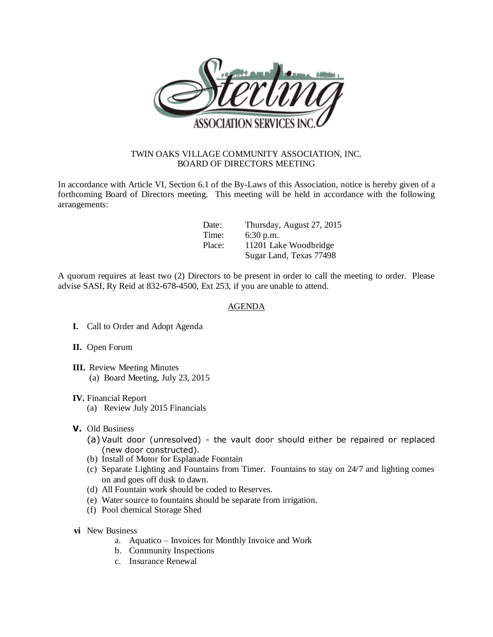

## TWIN OAKS VILLAGE COMMUNITY ASSOCIATION, INC. BOARD OF DIRECTORS MEETING

In accordance with Article VI, Section 6.1 of the By-Laws of this Association, notice is hereby given of a forthcoming Board of Directors meeting. This meeting will be held in accordance with the following arrangements:

| Date:  | Thursday, August 27, 2015 |
|--------|---------------------------|
| Time:  | 6:30 p.m.                 |
| Place: | 11201 Lake Woodbridge     |
|        | Sugar Land, Texas 77498   |

A quorum requires at least two (2) Directors to be present in order to call the meeting to order. Please advise SASI, Ry Reid at 832-678-4500, Ext 253, if you are unable to attend.

## AGENDA

- **I.** Call to Order and Adopt Agenda
- **II.** Open Forum
- **III.** Review Meeting Minutes (a) Board Meeting, July 23, 2015
- **IV.** Financial Report
	- (a) Review July 2015 Financials
- **V.** Old Business
	- (a)Vault door (unresolved) the vault door should either be repaired or replaced (new door constructed).
	- (b) Install of Motor for Esplanade Fountain
	- (c) Separate Lighting and Fountains from Timer. Fountains to stay on 24/7 and lighting comes on and goes off dusk to dawn.
	- (d) All Fountain work should be coded to Reserves.
	- (e) Water source to fountains should be separate from irrigation.
	- (f) Pool chemical Storage Shed
- **vi** New Business
	- a. Aquatico Invoices for Monthly Invoice and Work
	- b. Community Inspections
	- c. Insurance Renewal